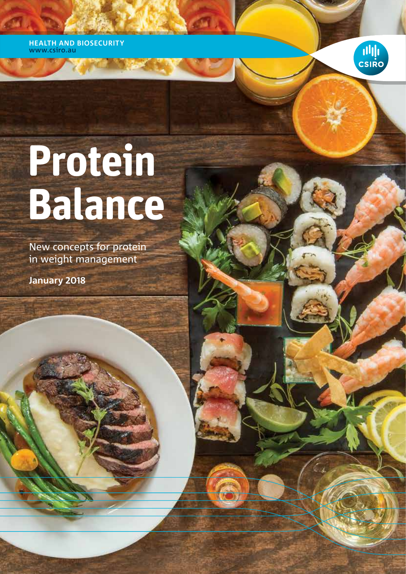**HEALTH AND BIOSECURITY www.csiro.au**



# **Protein Balance**

New concepts for protein in weight management

**January 2018**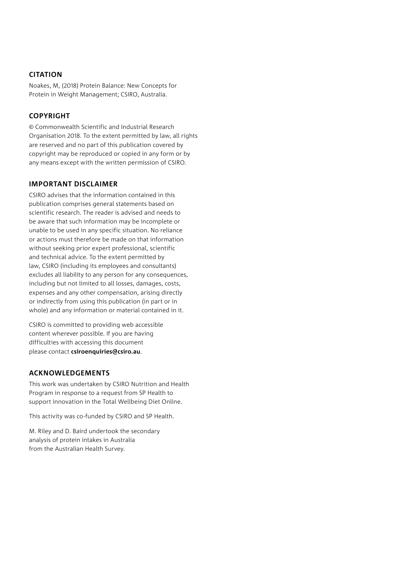#### **CITATION**

Noakes, M, (2018) Protein Balance: New Concepts for Protein in Weight Management; CSIRO, Australia.

#### **COPYRIGHT**

© Commonwealth Scientific and Industrial Research Organisation 2018. To the extent permitted by law, all rights are reserved and no part of this publication covered by copyright may be reproduced or copied in any form or by any means except with the written permission of CSIRO.

#### **IMPORTANT DISCLAIMER**

CSIRO advises that the information contained in this publication comprises general statements based on scientific research. The reader is advised and needs to be aware that such information may be incomplete or unable to be used in any specific situation. No reliance or actions must therefore be made on that information without seeking prior expert professional, scientific and technical advice. To the extent permitted by law, CSIRO (including its employees and consultants) excludes all liability to any person for any consequences, including but not limited to all losses, damages, costs, expenses and any other compensation, arising directly or indirectly from using this publication (in part or in whole) and any information or material contained in it.

CSIRO is committed to providing web accessible content wherever possible. If you are having difficulties with accessing this document please contact **csiroenquiries@csiro.au**.

#### **ACKNOWLEDGEMENTS**

This work was undertaken by CSIRO Nutrition and Health Program in response to a request from SP Health to support innovation in the Total Wellbeing Diet Online.

This activity was co-funded by CSIRO and SP Health.

M. Riley and D. Baird undertook the secondary analysis of protein intakes in Australia from the Australian Health Survey.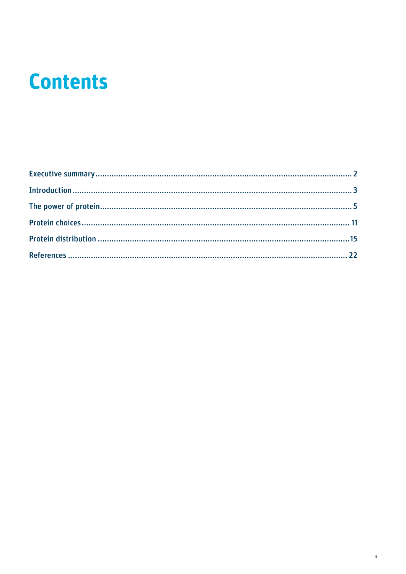# **Contents**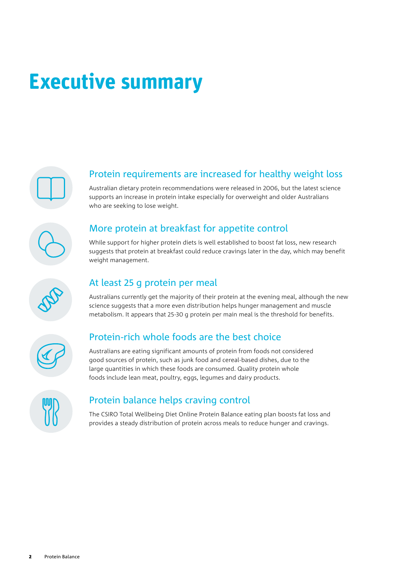# **Executive summary**



### Protein requirements are increased for healthy weight loss

Australian dietary protein recommendations were released in 2006, but the latest science supports an increase in protein intake especially for overweight and older Australians who are seeking to lose weight.



### More protein at breakfast for appetite control

While support for higher protein diets is well established to boost fat loss, new research suggests that protein at breakfast could reduce cravings later in the day, which may benefit weight management.



### At least 25 g protein per meal

Australians currently get the majority of their protein at the evening meal, although the new science suggests that a more even distribution helps hunger management and muscle metabolism. It appears that 25-30 g protein per main meal is the threshold for benefits.



### Protein-rich whole foods are the best choice

Australians are eating significant amounts of protein from foods not considered good sources of protein, such as junk food and cereal-based dishes, due to the large quantities in which these foods are consumed. Quality protein whole foods include lean meat, poultry, eggs, legumes and dairy products.



### Protein balance helps craving control

The CSIRO Total Wellbeing Diet Online Protein Balance eating plan boosts fat loss and provides a steady distribution of protein across meals to reduce hunger and cravings.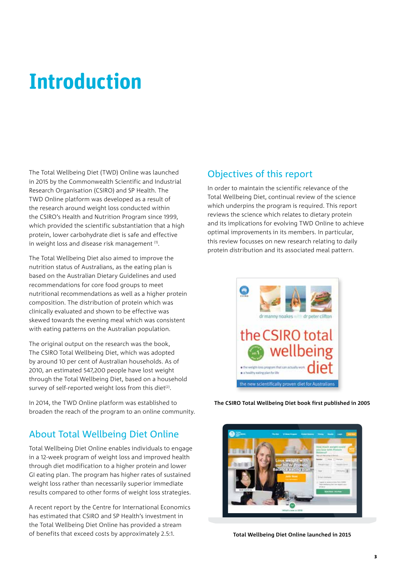# **Introduction**

The Total Wellbeing Diet (TWD) Online was launched in 2015 by the Commonwealth Scientific and Industrial Research Organisation (CSIRO) and SP Health. The TWD Online platform was developed as a result of the research around weight loss conducted within the CSIRO's Health and Nutrition Program since 1999, which provided the scientific substantiation that a high protein, lower carbohydrate diet is safe and effective in weight loss and disease risk management (1).

The Total Wellbeing Diet also aimed to improve the nutrition status of Australians, as the eating plan is based on the Australian Dietary Guidelines and used recommendations for core food groups to meet nutritional recommendations as well as a higher protein composition. The distribution of protein which was clinically evaluated and shown to be effective was skewed towards the evening meal which was consistent with eating patterns on the Australian population.

The original output on the research was the book, The CSIRO Total Wellbeing Diet, which was adopted by around 10 per cent of Australian households. As of 2010, an estimated 547,200 people have lost weight through the Total Wellbeing Diet, based on a household survey of self-reported weight loss from this diet<sup>(2)</sup>.

In 2014, the TWD Online platform was established to broaden the reach of the program to an online community.

### About Total Wellbeing Diet Online

Total Wellbeing Diet Online enables individuals to engage in a 12-week program of weight loss and improved health through diet modification to a higher protein and lower GI eating plan. The program has higher rates of sustained weight loss rather than necessarily superior immediate results compared to other forms of weight loss strategies.

A recent report by the Centre for International Economics has estimated that CSIRO and SP Health's investment in the Total Wellbeing Diet Online has provided a stream of benefits that exceed costs by approximately 2.5:1.

### Objectives of this report

In order to maintain the scientific relevance of the Total Wellbeing Diet, continual review of the science which underpins the program is required. This report reviews the science which relates to dietary protein and its implications for evolving TWD Online to achieve optimal improvements in its members. In particular, this review focusses on new research relating to daily protein distribution and its associated meal pattern.



**The CSIRO Total Wellbeing Diet book first published in 2005**



**Total Wellbeing Diet Online launched in 2015**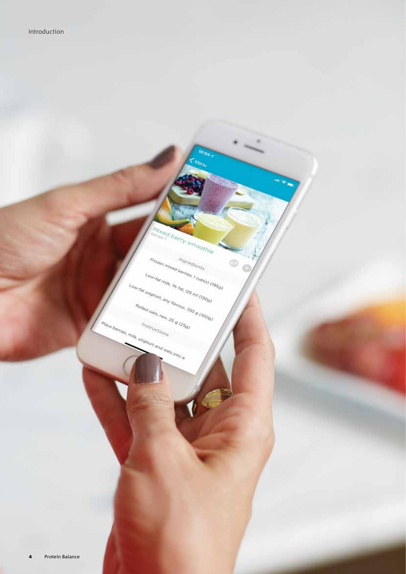io.

Mixed berry smoothie

Frozen mixed bernes, 1 cup(s)<br>Cou-fat milk, hk fat, 125 mil.c.<br>Cou-fat milk, hk fat, 125 mil.c. Ingredients

Eow-fat milk fat, 125 ml (130g)<br>It yoghurt, any fat, 125 ml (130g)<br>It yoghurt, any flavour

Low-fat yoghurt, any flavour, 100 a (100g)

Rolled eats, raw, 25 9 (250)

Place berries, milk, young and oats into a

۱ Ċ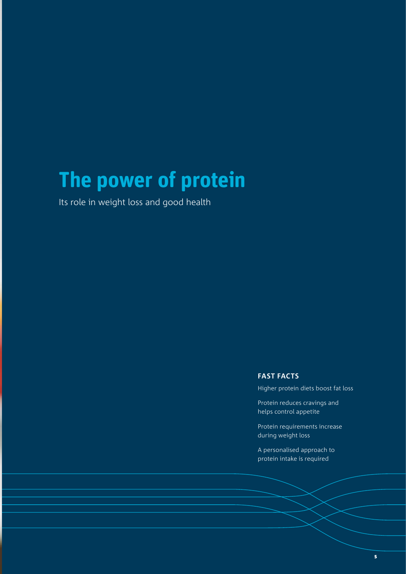# **The power of protein**

Its role in weight loss and good health

#### **FAST FACTS**

Higher protein diets boost fat loss

Protein reduces cravings and helps control appetite

Protein requirements increase during weight loss

A personalised approach to protein intake is required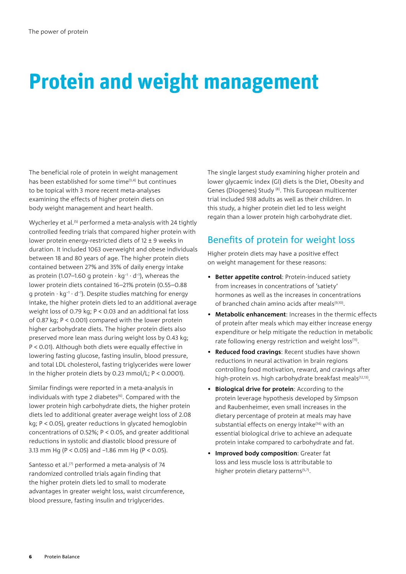# **Protein and weight management**

The beneficial role of protein in weight management has been established for some time $(3,4)$  but continues to be topical with 3 more recent meta-analyses examining the effects of higher protein diets on body weight management and heart health.

Wycherley et al.<sup>(5)</sup> performed a meta-analysis with 24 tightly controlled feeding trials that compared higher protein with lower protein energy-restricted diets of 12 ± 9 weeks in duration. It included 1063 overweight and obese individuals between 18 and 80 years of age. The higher protein diets contained between 27% and 35% of daily energy intake as protein (1.07–1.60 g protein · kg<sup>-1</sup> · d<sup>-1</sup>), whereas the lower protein diets contained 16–21% protein (0.55–0.88 g protein · kg−1 · d−1). Despite studies matching for energy intake, the higher protein diets led to an additional average weight loss of 0.79 kg; P < 0.03 and an additional fat loss of 0.87 kg; P < 0.001) compared with the lower protein higher carbohydrate diets. The higher protein diets also preserved more lean mass during weight loss by 0.43 kg; P < 0.01). Although both diets were equally effective in lowering fasting glucose, fasting insulin, blood pressure, and total LDL cholesterol, fasting triglycerides were lower in the higher protein diets by 0.23 mmol/L; P < 0.0001).

Similar findings were reported in a meta-analysis in individuals with type 2 diabetes $(6)$ . Compared with the lower protein high carbohydrate diets, the higher protein diets led to additional greater average weight loss of 2.08 kg; P < 0.05), greater reductions in glycated hemoglobin concentrations of 0.52%; P < 0.05, and greater additional reductions in systolic and diastolic blood pressure of 3.13 mm Hg (P < 0.05) and −1.86 mm Hg (P < 0.05).

Santesso et al.<sup>(7)</sup> performed a meta-analysis of 74 randomized controlled trials again finding that the higher protein diets led to small to moderate advantages in greater weight loss, waist circumference, blood pressure, fasting insulin and triglycerides.

The single largest study examining higher protein and lower glycaemic index (GI) diets is the Diet, Obesity and Genes (Diogenes) Study (8). This European multicenter trial included 938 adults as well as their children. In this study, a higher protein diet led to less weight regain than a lower protein high carbohydrate diet.

# Benefits of protein for weight loss

Higher protein diets may have a positive effect on weight management for these reasons:

- **Better appetite control**: Protein-induced satiety from increases in concentrations of 'satiety' hormones as well as the increases in concentrations of branched chain amino acids after meals(9,10).
- **Metabolic enhancement**: Increases in the thermic effects of protein after meals which may either increase energy expenditure or help mitigate the reduction in metabolic rate following energy restriction and weight loss<sup>(11)</sup>.
- **Reduced food cravings**: Recent studies have shown reductions in neural activation in brain regions controlling food motivation, reward, and cravings after high-protein vs. high carbohydrate breakfast meals<sup>(12,13)</sup>.
- **Biological drive for protein**: According to the protein leverage hypothesis developed by Simpson and Raubenheimer, even small increases in the dietary percentage of protein at meals may have substantial effects on energy intake<sup>(14)</sup> with an essential biological drive to achieve an adequate protein intake compared to carbohydrate and fat.
- **Improved body composition**: Greater fat loss and less muscle loss is attributable to higher protein dietary patterns<sup>(5,7)</sup>.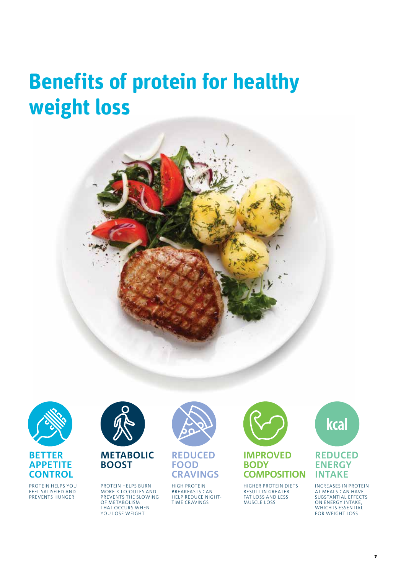# **Benefits of protein for healthy weight loss**





PROTEIN HELPS YOU FEEL SATISFIED AND PREVENTS HUNGER



# **METABOLIC BOOST**

PROTEIN HELPS BURN MORE KILOJOULES AND PREVENTS THE SLOWING OF METABOLISM THAT OCCURS WHEN YOU LOSE WEIGHT



**REDUCED FOOD CRAVINGS**

HIGH PROTEIN BREAKFASTS CAN HELP REDUCE NIGHT-TIME CRAVINGS



### **IMPROVED BODY COMPOSITION**

HIGHER PROTEIN DIETS RESULT IN GREATER FAT LOSS AND LESS MUSCLE LOSS



INCREASES IN PROTEIN AT MEALS CAN HAVE SUBSTANTIAL EFFECTS ON ENERGY INTAKE WHICH IS ESSENTIAL FOR WEIGHT LOSS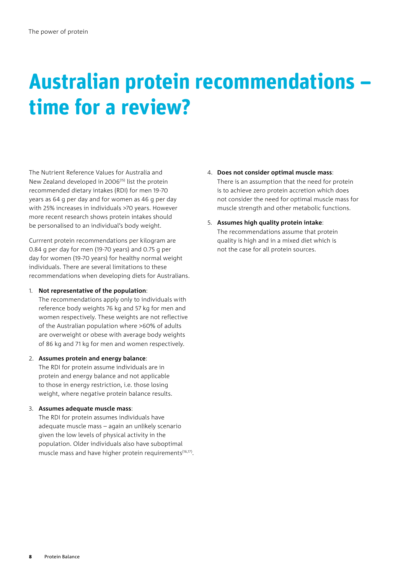# **Australian protein recommendations – time for a review?**

The Nutrient Reference Values for Australia and New Zealand developed in 2006(15) list the protein recommended dietary intakes (RDI) for men 19-70 years as 64 g per day and for women as 46 g per day with 25% increases in individuals >70 years. However more recent research shows protein intakes should be personalised to an individual's body weight.

Currrent protein recommendations per kilogram are 0.84 g per day for men (19-70 years) and 0.75 g per day for women (19-70 years) for healthy normal weight individuals. There are several limitations to these recommendations when developing diets for Australians.

#### 1. **Not representative of the population**:

The recommendations apply only to individuals with reference body weights 76 kg and 57 kg for men and women respectively. These weights are not reflective of the Australian population where >60% of adults are overweight or obese with average body weights of 86 kg and 71 kg for men and women respectively.

#### 2. **Assumes protein and energy balance**:

The RDI for protein assume individuals are in protein and energy balance and not applicable to those in energy restriction, i.e. those losing weight, where negative protein balance results.

#### 3. **Assumes adequate muscle mass**:

The RDI for protein assumes individuals have adequate muscle mass – again an unlikely scenario given the low levels of physical activity in the population. Older individuals also have suboptimal muscle mass and have higher protein requirements(16,17).

- 4. **Does not consider optimal muscle mass**: There is an assumption that the need for protein is to achieve zero protein accretion which does not consider the need for optimal muscle mass for muscle strength and other metabolic functions.
- 5. **Assumes high quality protein intake**: The recommendations assume that protein quality is high and in a mixed diet which is not the case for all protein sources.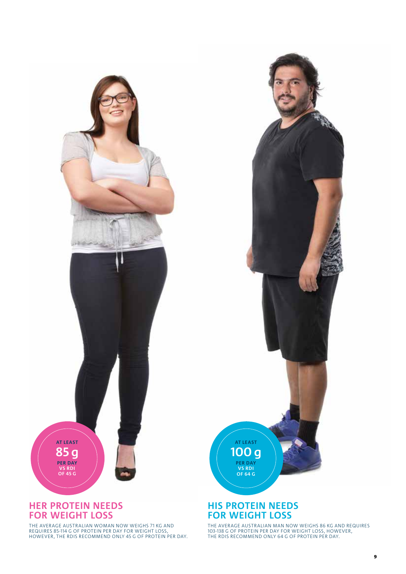

### **HER PROTEIN NEEDS FOR WEIGHT LOSS**

THE AVERAGE AUSTRALIAN WOMAN NOW WEIGHS 71 KG AND REQUIRES 85-114 G OF PROTEIN PER DAY FOR WEIGHT LOSS, HOWEVER, THE RDIS RECOMMEND ONLY 45 G OF PROTEIN PER DAY.



### **HIS PROTEIN NEEDS FOR WEIGHT LOSS**

THE AVERAGE AUSTRALIAN MAN NOW WEIGHS 86 KG AND REQUIRES 103-138 G OF PROTEIN PER DAY FOR WEIGHT LOSS, HOWEVER, THE RDIS RECOMMEND ONLY 64 G OF PROTEIN PER DAY.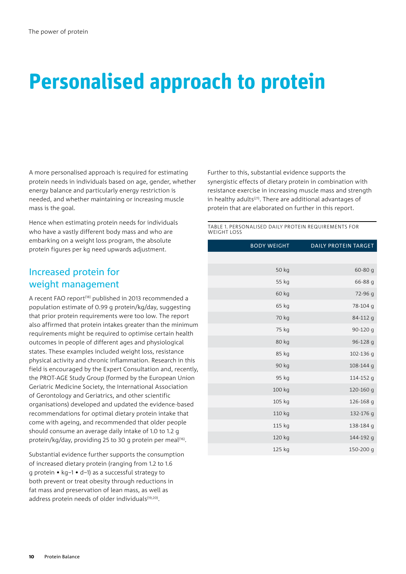# **Personalised approach to protein**

A more personalised approach is required for estimating protein needs in individuals based on age, gender, whether energy balance and particularly energy restriction is needed, and whether maintaining or increasing muscle mass is the goal.

Hence when estimating protein needs for individuals who have a vastly different body mass and who are embarking on a weight loss program, the absolute protein figures per kg need upwards adjustment.

### Increased protein for weight management

A recent FAO report<sup>(18)</sup> published in 2013 recommended a population estimate of 0.99 g protein/kg/day, suggesting that prior protein requirements were too low. The report also affirmed that protein intakes greater than the minimum requirements might be required to optimise certain health outcomes in people of different ages and physiological states. These examples included weight loss, resistance physical activity and chronic inflammation. Research in this field is encouraged by the Expert Consultation and, recently, the PROT-AGE Study Group (formed by the European Union Geriatric Medicine Society, the International Association of Gerontology and Geriatrics, and other scientific organisations) developed and updated the evidence-based recommendations for optimal dietary protein intake that come with ageing, and recommended that older people should consume an average daily intake of 1.0 to 1.2 g protein/kg/day, providing 25 to 30 g protein per meal(16).

Substantial evidence further supports the consumption of increased dietary protein (ranging from 1.2 to 1.6 g protein • kg−1 • d−1) as a successful strategy to both prevent or treat obesity through reductions in fat mass and preservation of lean mass, as well as address protein needs of older individuals(19,20).

Further to this, substantial evidence supports the synergistic effects of dietary protein in combination with resistance exercise in increasing muscle mass and strength in healthy adults $(21)$ . There are additional advantages of protein that are elaborated on further in this report.

TABLE 1. PERSONALISED DAILY PROTEIN REQUIREMENTS FOR **WEIGHT LOSS** 

| <b>BODY WEIGHT</b> | DAILY PROTEIN TARGET |
|--------------------|----------------------|
|                    |                      |
| 50 kg              | 60-80 g              |
| 55 kg              | 66-88 q              |
| 60 kg              | 72-96 g              |
| 65 kg              | 78-104 g             |
| 70 kg              | 84-112 g             |
| 75 kg              | 90-120 q             |
| 80 kg              | 96-128 q             |
| 85 kg              | 102-136 g            |
| 90 kg              | 108-144 g            |
| 95 kg              | 114-152 g            |
| 100 kg             | 120-160 g            |
| 105 kg             | 126-168 g            |
| 110 kg             | 132-176 g            |
| 115 kg             | 138-184 g            |
| 120 kg             | 144-192 g            |
| 125 kg             | 150-200 g            |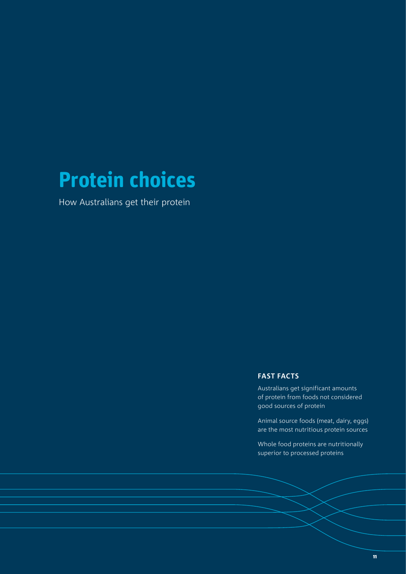# **Protein choices**

How Australians get their protein

#### **FAST FACTS**

Australians get significant amounts of protein from foods not considered good sources of protein

Animal source foods (meat, dairy, eggs) are the most nutritious protein sources

Whole food proteins are nutritionally superior to processed proteins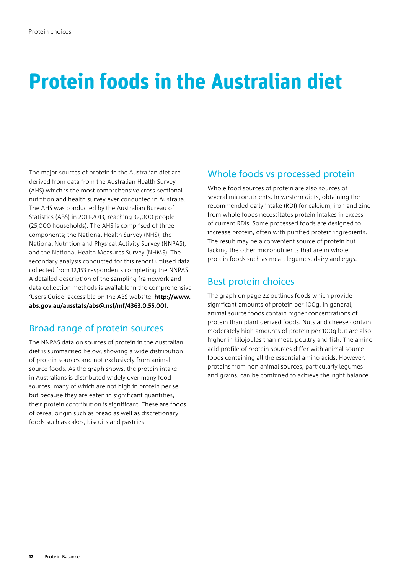# **Protein foods in the Australian diet**

The major sources of protein in the Australian diet are derived from data from the Australian Health Survey (AHS) which is the most comprehensive cross-sectional nutrition and health survey ever conducted in Australia. The AHS was conducted by the Australian Bureau of Statistics (ABS) in 2011-2013, reaching 32,000 people (25,000 households). The AHS is comprised of three components; the National Health Survey (NHS), the National Nutrition and Physical Activity Survey (NNPAS), and the National Health Measures Survey (NHMS). The secondary analysis conducted for this report utilised data collected from 12,153 respondents completing the NNPAS. A detailed description of the sampling framework and data collection methods is available in the comprehensive 'Users Guide' accessible on the ABS website: **http://www. abs.gov.au/ausstats/abs@.nsf/mf/4363.0.55.001**.

### Broad range of protein sources

The NNPAS data on sources of protein in the Australian diet is summarised below, showing a wide distribution of protein sources and not exclusively from animal source foods. As the graph shows, the protein intake in Australians is distributed widely over many food sources, many of which are not high in protein per se but because they are eaten in significant quantities, their protein contribution is significant. These are foods of cereal origin such as bread as well as discretionary foods such as cakes, biscuits and pastries.

### Whole foods vs processed protein

Whole food sources of protein are also sources of several micronutrients. In western diets, obtaining the recommended daily intake (RDI) for calcium, iron and zinc from whole foods necessitates protein intakes in excess of current RDIs. Some processed foods are designed to increase protein, often with purified protein ingredients. The result may be a convenient source of protein but lacking the other micronutrients that are in whole protein foods such as meat, legumes, dairy and eggs.

### Best protein choices

The graph on page 22 outlines foods which provide significant amounts of protein per 100g. In general, animal source foods contain higher concentrations of protein than plant derived foods. Nuts and cheese contain moderately high amounts of protein per 100g but are also higher in kilojoules than meat, poultry and fish. The amino acid profile of protein sources differ with animal source foods containing all the essential amino acids. However, proteins from non animal sources, particularly legumes and grains, can be combined to achieve the right balance.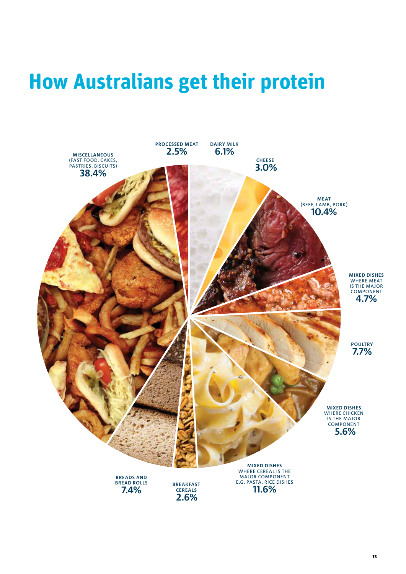# **How Australians get their protein**

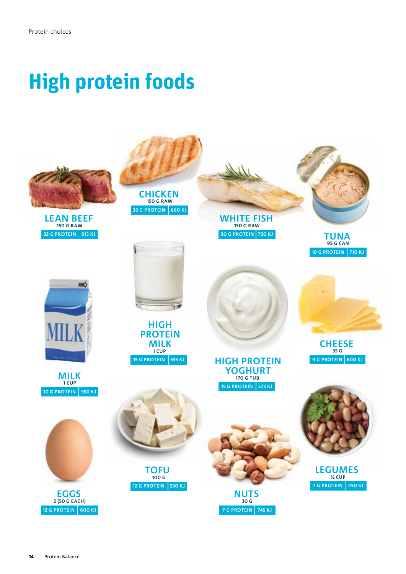# **High protein foods**

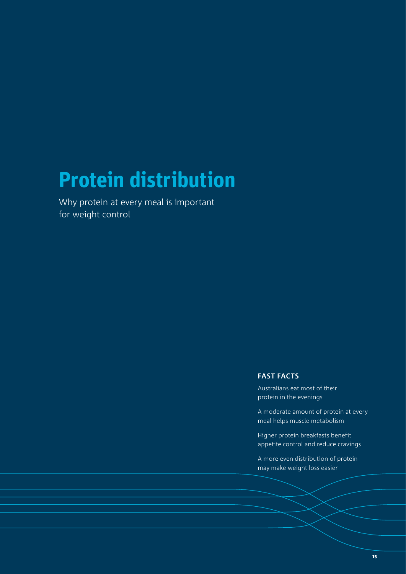# **Protein distribution**

Why protein at every meal is important for weight control

#### **FAST FACTS**

Australians eat most of their protein in the evenings

A moderate amount of protein at every meal helps muscle metabolism

Higher protein breakfasts benefit appetite control and reduce cravings

A more even distribution of protein may make weight loss easier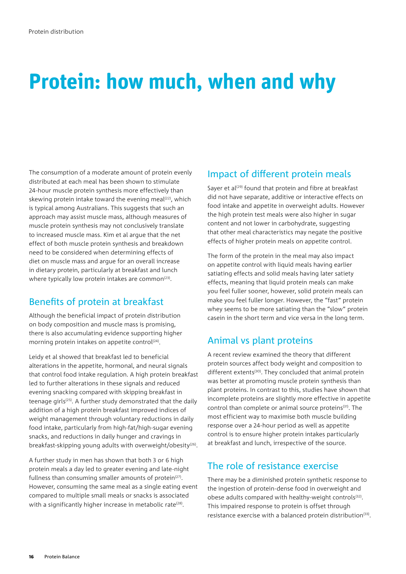# **Protein: how much, when and why**

The consumption of a moderate amount of protein evenly distributed at each meal has been shown to stimulate 24-hour muscle protein synthesis more effectively than skewing protein intake toward the evening meal $(22)$ , which is typical among Australians. This suggests that such an approach may assist muscle mass, although measures of muscle protein synthesis may not conclusively translate to increased muscle mass. Kim et al argue that the net effect of both muscle protein synthesis and breakdown need to be considered when determining effects of diet on muscle mass and argue for an overall increase in dietary protein, particularly at breakfast and lunch where typically low protein intakes are common<sup> $(23)$ </sup>.

### Benefits of protein at breakfast

Although the beneficial impact of protein distribution on body composition and muscle mass is promising, there is also accumulating evidence supporting higher morning protein intakes on appetite control<sup>(24)</sup>.

Leidy et al showed that breakfast led to beneficial alterations in the appetite, hormonal, and neural signals that control food intake regulation. A high protein breakfast led to further alterations in these signals and reduced evening snacking compared with skipping breakfast in teenage girls(25). A further study demonstrated that the daily addition of a high protein breakfast improved indices of weight management through voluntary reductions in daily food intake, particularly from high-fat/high-sugar evening snacks, and reductions in daily hunger and cravings in breakfast-skipping young adults with overweight/obesity<sup>(26)</sup>.

A further study in men has shown that both 3 or 6 high protein meals a day led to greater evening and late-night fullness than consuming smaller amounts of protein<sup>(27)</sup>. However, consuming the same meal as a single eating event compared to multiple small meals or snacks is associated with a significantly higher increase in metabolic rate<sup>(28)</sup>.

### Impact of different protein meals

Sayer et al<sup>(29)</sup> found that protein and fibre at breakfast did not have separate, additive or interactive effects on food intake and appetite in overweight adults. However the high protein test meals were also higher in sugar content and not lower in carbohydrate, suggesting that other meal characteristics may negate the positive effects of higher protein meals on appetite control.

The form of the protein in the meal may also impact on appetite control with liquid meals having earlier satiating effects and solid meals having later satiety effects, meaning that liquid protein meals can make you feel fuller sooner, however, solid protein meals can make you feel fuller longer. However, the "fast" protein whey seems to be more satiating than the "slow" protein casein in the short term and vice versa in the long term.

## Animal vs plant proteins

A recent review examined the theory that different protein sources affect body weight and composition to different extents<sup>(30)</sup>. They concluded that animal protein was better at promoting muscle protein synthesis than plant proteins. In contrast to this, studies have shown that incomplete proteins are slightly more effective in appetite control than complete or animal source proteins(31). The most efficient way to maximise both muscle building response over a 24-hour period as well as appetite control is to ensure higher protein intakes particularly at breakfast and lunch, irrespective of the source.

## The role of resistance exercise

There may be a diminished protein synthetic response to the ingestion of protein-dense food in overweight and obese adults compared with healthy-weight controls<sup>(32)</sup>. This impaired response to protein is offset through resistance exercise with a balanced protein distribution<sup>(33)</sup>.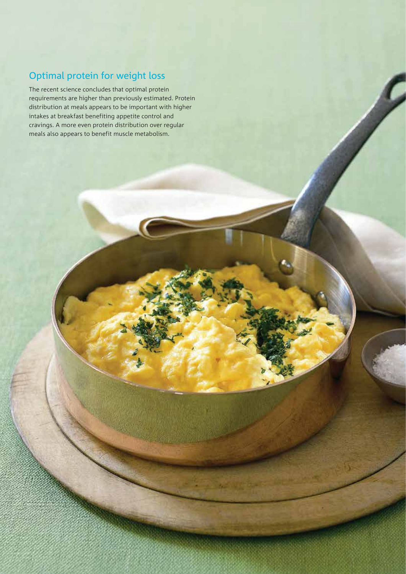# Optimal protein for weight loss

The recent science concludes that optimal protein requirements are higher than previously estimated. Protein distribution at meals appears to be important with higher intakes at breakfast benefiting appetite control and cravings. A more even protein distribution over regular meals also appears to benefit muscle metabolism.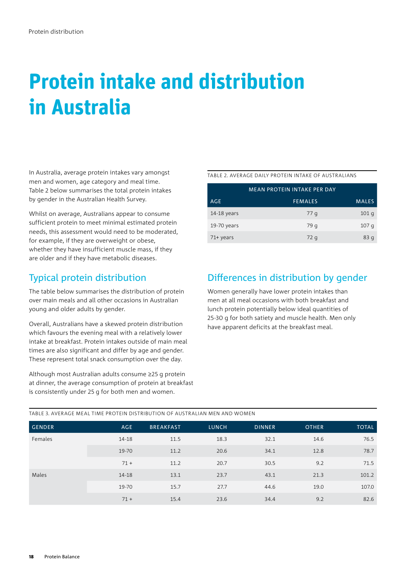# **Protein intake and distribution in Australia**

In Australia, average protein intakes vary amongst men and women, age category and meal time. Table 2 below summarises the total protein intakes by gender in the Australian Health Survey.

Whilst on average, Australians appear to consume sufficient protein to meet minimal estimated protein needs, this assessment would need to be moderated, for example, if they are overweight or obese, whether they have insufficient muscle mass, if they are older and if they have metabolic diseases.

### Typical protein distribution

The table below summarises the distribution of protein over main meals and all other occasions in Australian young and older adults by gender.

Overall, Australians have a skewed protein distribution which favours the evening meal with a relatively lower intake at breakfast. Protein intakes outside of main meal times are also significant and differ by age and gender. These represent total snack consumption over the day.

Although most Australian adults consume ≥25 g protein at dinner, the average consumption of protein at breakfast is consistently under 25 g for both men and women.

TABLE 2. AVERAGE DAILY PROTEIN INTAKE OF AUSTRALIANS

| <b>MEAN PROTEIN INTAKE PER DAY</b> |                |              |  |  |  |  |
|------------------------------------|----------------|--------------|--|--|--|--|
| AGE                                | <b>FEMALES</b> | <b>MALES</b> |  |  |  |  |
| $14-18$ years                      | 77 g           | 101q         |  |  |  |  |
| 19-70 years                        | 79 q           | 107q         |  |  |  |  |
| 71+ years                          | 72 g           | 83q          |  |  |  |  |

## Differences in distribution by gender

Women generally have lower protein intakes than men at all meal occasions with both breakfast and lunch protein potentially below ideal quantities of 25-30 g for both satiety and muscle health. Men only have apparent deficits at the breakfast meal.

| GENDER  | <b>AGE</b> | <b>BREAKFAST</b> | <b>LUNCH</b> | <b>DINNER</b> | <b>OTHER</b> | <b>TOTAL</b> |
|---------|------------|------------------|--------------|---------------|--------------|--------------|
| Females | $14 - 18$  | 11.5             | 18.3         | 32.1          | 14.6         | 76.5         |
|         | 19-70      | 11.2             | 20.6         | 34.1          | 12.8         | 78.7         |
|         | $71 +$     | 11.2             | 20.7         | 30.5          | 9.2          | 71.5         |
| Males   | $14 - 18$  | 13.1             | 23.7         | 43.1          | 21.3         | 101.2        |
|         | 19-70      | 15.7             | 27.7         | 44.6          | 19.0         | 107.0        |
|         | $71 +$     | 15.4             | 23.6         | 34.4          | 9.2          | 82.6         |

TABLE 3. AVERAGE MEAL TIME PROTEIN DISTRIBUTION OF AUSTRALIAN MEN AND WOMEN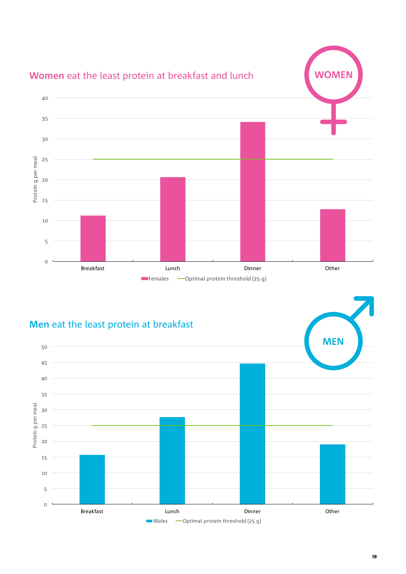

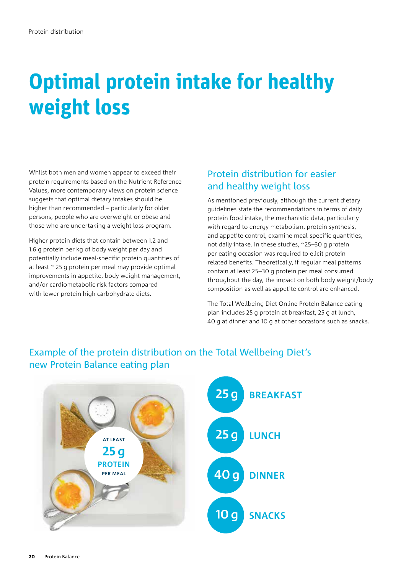# **Optimal protein intake for healthy weight loss**

Whilst both men and women appear to exceed their protein requirements based on the Nutrient Reference Values, more contemporary views on protein science suggests that optimal dietary intakes should be higher than recommended – particularly for older persons, people who are overweight or obese and those who are undertaking a weight loss program.

Higher protein diets that contain between 1.2 and 1.6 g protein per kg of body weight per day and potentially include meal-specific protein quantities of at least ~ 25 g protein per meal may provide optimal improvements in appetite, body weight management, and/or cardiometabolic risk factors compared with lower protein high carbohydrate diets.

## Protein distribution for easier and healthy weight loss

As mentioned previously, although the current dietary guidelines state the recommendations in terms of daily protein food intake, the mechanistic data, particularly with regard to energy metabolism, protein synthesis, and appetite control, examine meal-specific quantities, not daily intake. In these studies, ~25–30 g protein per eating occasion was required to elicit proteinrelated benefits. Theoretically, if regular meal patterns contain at least 25–30 g protein per meal consumed throughout the day, the impact on both body weight/body composition as well as appetite control are enhanced.

The Total Wellbeing Diet Online Protein Balance eating plan includes 25 g protein at breakfast, 25 g at lunch, 40 g at dinner and 10 g at other occasions such as snacks.

# Example of the protein distribution on the Total Wellbeing Diet's new Protein Balance eating plan

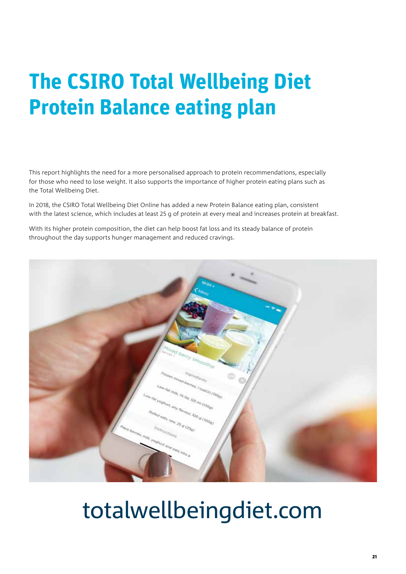# **The CSIRO Total Wellbeing Diet Protein Balance eating plan**

This report highlights the need for a more personalised approach to protein recommendations, especially for those who need to lose weight. It also supports the importance of higher protein eating plans such as the Total Wellbeing Diet.

In 2018, the CSIRO Total Wellbeing Diet Online has added a new Protein Balance eating plan, consistent with the latest science, which includes at least 25 g of protein at every meal and increases protein at breakfast.

With its higher protein composition, the diet can help boost fat loss and its steady balance of protein throughout the day supports hunger management and reduced cravings.



# totalwellbeingdiet.com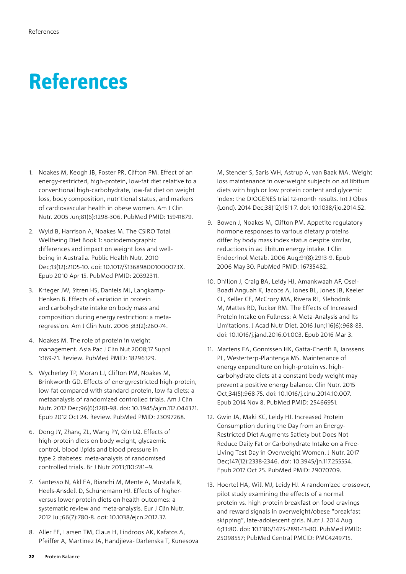# **References**

- 1. Noakes M, Keogh JB, Foster PR, Clifton PM. Effect of an energy-restricted, high-protein, low-fat diet relative to a conventional high-carbohydrate, low-fat diet on weight loss, body composition, nutritional status, and markers of cardiovascular health in obese women. Am J Clin Nutr. 2005 Jun;81(6):1298-306. PubMed PMID: 15941879.
- 2. Wyld B, Harrison A, Noakes M. The CSIRO Total Wellbeing Diet Book 1: sociodemographic differences and impact on weight loss and wellbeing in Australia. Public Health Nutr. 2010 Dec;13(12):2105-10. doi: 10.1017/S136898001000073X. Epub 2010 Apr 15. PubMed PMID: 20392311.
- 3. Krieger JW, Sitren HS, Daniels MJ, Langkamp-Henken B. Effects of variation in protein and carbohydrate intake on body mass and composition during energy restriction: a metaregression. Am J Clin Nutr. 2006 ;83(2):260-74.
- 4. Noakes M. The role of protein in weight management. Asia Pac J Clin Nut 2008;17 Suppl 1:169-71. Review. PubMed PMID: 18296329.
- 5. Wycherley TP, Moran LJ, Clifton PM, Noakes M, Brinkworth GD. Effects of energyrestricted high-protein, low-fat compared with standard-protein, low-fa diets: a metaanalysis of randomized controlled trials. Am J Clin Nutr. 2012 Dec;96(6):1281-98. doi: 10.3945/ajcn.112.044321. Epub 2012 Oct 24. Review. PubMed PMID: 23097268.
- 6. Dong JY, Zhang ZL, Wang PY, Qin LQ. Effects of high-protein diets on body weight, glycaemic control, blood lipids and blood pressure in type 2 diabetes: meta-analysis of randomised controlled trials. Br J Nutr 2013;110:781–9.
- 7. Santesso N, Akl EA, Bianchi M, Mente A, Mustafa R, Heels-Ansdell D, Schünemann HJ. Effects of higherversus lower-protein diets on health outcomes: a systematic review and meta-analysis. Eur J Clin Nutr. 2012 Jul;66(7):780-8. doi: 10.1038/ejcn.2012.37.
- 8. Aller EE, Larsen TM, Claus H, Lindroos AK, Kafatos A, Pfeiffer A, Martinez JA, Handjieva- Darlenska T, Kunesova

M, Stender S, Saris WH, Astrup A, van Baak MA. Weight loss maintenance in overweight subjects on ad libitum diets with high or low protein content and glycemic index: the DIOGENES trial 12-month results. Int J Obes (Lond). 2014 Dec;38(12):1511-7. doi: 10.1038/ijo.2014.52.

- 9. Bowen J, Noakes M, Clifton PM. Appetite regulatory hormone responses to various dietary proteins differ by body mass index status despite similar, reductions in ad libitum energy intake. J Clin Endocrinol Metab. 2006 Aug;91(8):2913-9. Epub 2006 May 30. PubMed PMID: 16735482.
- 10. Dhillon J, Craig BA, Leidy HJ, Amankwaah AF, Osei-Boadi Anguah K, Jacobs A, Jones BL, Jones JB, Keeler CL, Keller CE, McCrory MA, Rivera RL, Slebodnik M, Mattes RD, Tucker RM. The Effects of Increased Protein Intake on Fullness: A Meta-Analysis and Its Limitations. J Acad Nutr Diet. 2016 Jun;116(6):968-83. doi: 10.1016/j.jand.2016.01.003. Epub 2016 Mar 3.
- 11. Martens EA, Gonnissen HK, Gatta-Cherifi B, Janssens PL, Westerterp-Plantenga MS. Maintenance of energy expenditure on high-protein vs. highcarbohydrate diets at a constant body weight may prevent a positive energy balance. Clin Nutr. 2015 Oct;34(5):968-75. doi: 10.1016/j.clnu.2014.10.007. Epub 2014 Nov 8. PubMed PMID: 25466951.
- 12. Gwin JA, Maki KC, Leidy HJ. Increased Protein Consumption during the Day from an Energy-Restricted Diet Augments Satiety but Does Not Reduce Daily Fat or Carbohydrate Intake on a Free-Living Test Day in Overweight Women. J Nutr. 2017 Dec;147(12):2338-2346. doi: 10.3945/jn.117.255554. Epub 2017 Oct 25. PubMed PMID: 29070709.
- 13. Hoertel HA, Will MJ, Leidy HJ. A randomized crossover, pilot study examining the effects of a normal protein vs. high protein breakfast on food cravings and reward signals in overweight/obese "breakfast skipping", late-adolescent girls. Nutr J. 2014 Aug 6;13:80. doi: 10.1186/1475-2891-13-80. PubMed PMID: 25098557; PubMed Central PMCID: PMC4249715.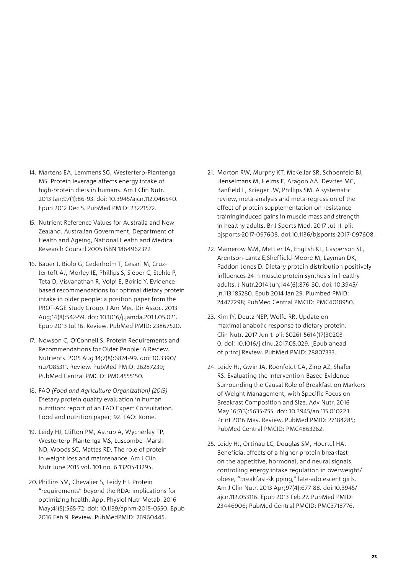- 14. Martens EA, Lemmens SG, Westerterp-Plantenga MS. Protein leverage affects energy intake of high-protein diets in humans. Am J Clin Nutr. 2013 Jan;97(1):86-93. doi: 10.3945/ajcn.112.046540. Epub 2012 Dec 5. PubMed PMID: 23221572.
- 15. Nutrient Reference Values for Australia and New Zealand. Australian Government, Department of Health and Ageing, National Health and Medical Research Council 2005 ISBN 1864962372
- 16. Bauer J, Biolo G, Cederholm T, Cesari M, Cruz-Jentoft AJ, Morley JE, Phillips S, Sieber C, Stehle P, Teta D, Visvanathan R, Volpi E, Boirie Y. Evidencebased recommendations for optimal dietary protein intake in older people: a position paper from the PROT-AGE Study Group. J Am Med Dir Assoc. 2013 Aug;14(8):542-59. doi: 10.1016/j.jamda.2013.05.021. Epub 2013 Jul 16. Review. PubMed PMID: 23867520.
- 17. Nowson C, O'Connell S. Protein Requirements and Recommendations for Older People: A Review. Nutrients. 2015 Aug 14;7(8):6874-99. doi: 10.3390/ nu7085311. Review. PubMed PMID: 26287239; PubMed Central PMCID: PMC4555150.
- 18. FAO *(Food and Agriculture Organization) (2013)* Dietary protein quality evaluation in human nutrition: report of an FAO Expert Consultation. Food and nutrition paper; 92. FAO: Rome.
- 19. Leidy HJ, Clifton PM, Astrup A, Wycherley TP, Westerterp-Plantenga MS, Luscombe- Marsh ND, Woods SC, Mattes RD. The role of protein in weight loss and maintenance. Am J Clin Nutr June 2015 vol. 101 no. 6 1320S-1329S.
- 20. Phillips SM, Chevalier S, Leidy HJ. Protein "requirements" beyond the RDA: implications for optimizing health. Appl Physiol Nutr Metab. 2016 May;41(5):565-72. doi: 10.1139/apnm-2015-0550. Epub 2016 Feb 9. Review. PubMedPMID: 26960445.
- 21. Morton RW, Murphy KT, McKellar SR, Schoenfeld BJ, Henselmans M, Helms E, Aragon AA, Devries MC, Banfield L, Krieger JW, Phillips SM. A systematic review, meta-analysis and meta-regression of the effect of protein supplementation on resistance traininginduced gains in muscle mass and strength in healthy adults. Br J Sports Med. 2017 Jul 11. pii: bjsports-2017-097608. doi:10.1136/bjsports-2017-097608.
- 22. Mamerow MM, Mettler JA, English KL, Casperson SL, Arentson-Lantz E,Sheffield-Moore M, Layman DK, Paddon-Jones D. Dietary protein distribution positively influences 24-h muscle protein synthesis in healthy adults. J Nutr.2014 Jun;144(6):876-80. doi: 10.3945/ jn.113.185280. Epub 2014 Jan 29. Plumbed PMID: 24477298; PubMed Central PMCID: PMC4018950.
- 23. Kim IY, Deutz NEP, Wolfe RR. Update on maximal anabolic response to dietary protein. Clin Nutr. 2017 Jun 1. pii: S0261-5614(17)30203- 0. doi: 10.1016/j.clnu.2017.05.029. [Epub ahead of print] Review. PubMed PMID: 28807333.
- 24. Leidy HJ, Gwin JA, Roenfeldt CA, Zino AZ, Shafer RS. Evaluating the Intervention-Based Evidence Surrounding the Causal Role of Breakfast on Markers of Weight Management, with Specific Focus on Breakfast Composition and Size. Adv Nutr. 2016 May 16;7(3):563S-75S. doi: 10.3945/an.115.010223. Print 2016 May. Review. PubMed PMID: 27184285; PubMed Central PMCID: PMC4863262.
- 25. Leidy HJ, Ortinau LC, Douglas SM, Hoertel HA. Beneficial effects of a higher-protein breakfast on the appetitive, hormonal, and neural signals controlling energy intake regulation in overweight/ obese, "breakfast-skipping," late-adolescent girls. Am J Clin Nutr. 2013 Apr;97(4):677-88. doi:10.3945/ ajcn.112.053116. Epub 2013 Feb 27. PubMed PMID: 23446906; PubMed Central PMCID: PMC3718776.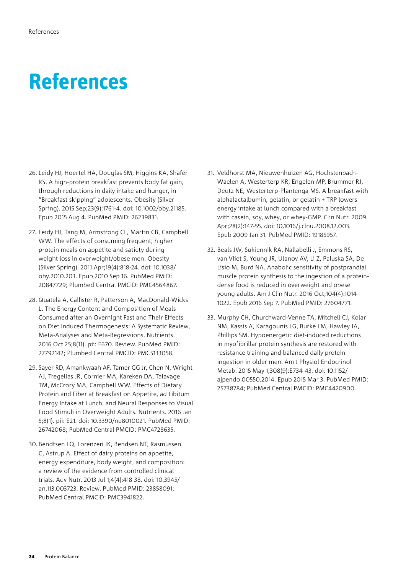# **References**

- 26. Leidy HJ, Hoertel HA, Douglas SM, Higgins KA, Shafer RS. A high-protein breakfast prevents body fat gain, through reductions in daily intake and hunger, in "Breakfast skipping" adolescents. Obesity (Silver Spring). 2015 Sep;23(9):1761-4. doi: 10.1002/oby.21185. Epub 2015 Aug 4. PubMed PMID: 26239831.
- 27. Leidy HJ, Tang M, Armstrong CL, Martin CB, Campbell WW. The effects of consuming frequent, higher protein meals on appetite and satiety during weight loss in overweight/obese men. Obesity (Silver Spring). 2011 Apr;19(4):818-24. doi: 10.1038/ oby.2010.203. Epub 2010 Sep 16. PubMed PMID: 20847729; Plumbed Central PMCID: PMC4564867.
- 28. Quatela A, Callister R, Patterson A, MacDonald-Wicks L. The Energy Content and Composition of Meals Consumed after an Overnight Fast and Their Effects on Diet Induced Thermogenesis: A Systematic Review, Meta-Analyses and Meta-Regressions. Nutrients. 2016 Oct 25;8(11). pii: E670. Review. PubMed PMID: 27792142; Plumbed Central PMCID: PMC5133058.
- 29. Sayer RD, Amankwaah AF, Tamer GG Jr, Chen N, Wright AJ, Tregellas JR, Cornier MA, Kareken DA, Talavage TM, McCrory MA, Campbell WW. Effects of Dietary Protein and Fiber at Breakfast on Appetite, ad Libitum Energy Intake at Lunch, and Neural Responses to Visual Food Stimuli in Overweight Adults. Nutrients. 2016 Jan 5;8(1). pii: E21. doi: 10.3390/nu8010021. PubMed PMID: 26742068; PubMed Central PMCID: PMC4728635.
- 30. Bendtsen LQ, Lorenzen JK, Bendsen NT, Rasmussen C, Astrup A. Effect of dairy proteins on appetite, energy expenditure, body weight, and composition: a review of the evidence from controlled clinical trials. Adv Nutr. 2013 Jul 1;4(4):418-38. doi: 10.3945/ an.113.003723. Review. PubMed PMID: 23858091; PubMed Central PMCID: PMC3941822.
- 31. Veldhorst MA, Nieuwenhuizen AG, Hochstenbach-Waelen A, Westerterp KR, Engelen MP, Brummer RJ, Deutz NE, Westerterp-Plantenga MS. A breakfast with alphalactalbumin, gelatin, or gelatin + TRP lowers energy intake at lunch compared with a breakfast with casein, soy, whey, or whey-GMP. Clin Nutr. 2009 Apr;28(2):147-55. doi: 10.1016/j.clnu.2008.12.003. Epub 2009 Jan 31. PubMed PMID: 19185957.
- 32. Beals JW, Sukiennik RA, Nallabelli J, Emmons RS, van Vliet S, Young JR, Ulanov AV, Li Z, Paluska SA, De Lisio M, Burd NA. Anabolic sensitivity of postprandial muscle protein synthesis to the ingestion of a proteindense food is reduced in overweight and obese young adults. Am J Clin Nutr. 2016 Oct;104(4):1014- 1022. Epub 2016 Sep 7. PubMed PMID: 27604771.
- 33. Murphy CH, Churchward-Venne TA, Mitchell CJ, Kolar NM, Kassis A, Karagounis LG, Burke LM, Hawley JA, Phillips SM. Hypoenergetic diet-induced reductions in myofibrillar protein synthesis are restored with resistance training and balanced daily protein ingestion in older men. Am J Physiol Endocrinol Metab. 2015 May 1;308(9):E734-43. doi: 10.1152/ ajpendo.00550.2014. Epub 2015 Mar 3. PubMed PMID: 25738784; PubMed Central PMCID: PMC4420900.